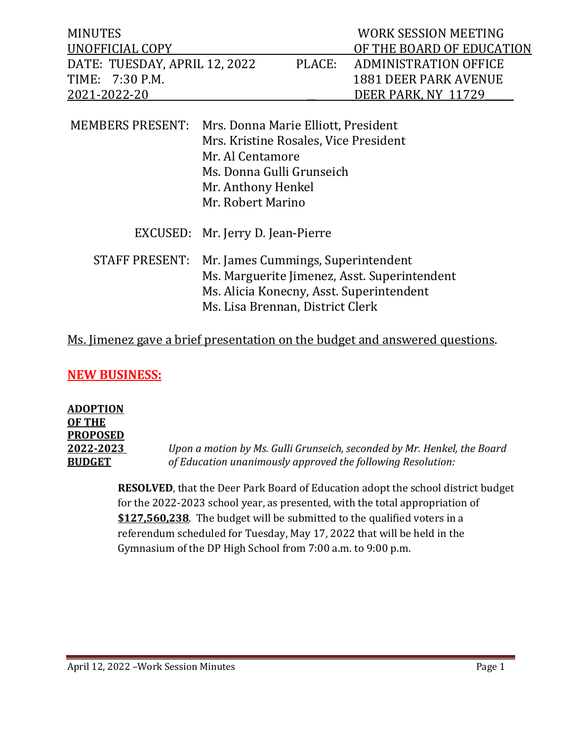| <b>MINUTES</b><br><b>UNOFFICIAL COPY</b>                         |                                                                                                                                                                          |        | <b>WORK SESSION MEETING</b><br>OF THE BOARD OF EDUCATION                            |
|------------------------------------------------------------------|--------------------------------------------------------------------------------------------------------------------------------------------------------------------------|--------|-------------------------------------------------------------------------------------|
| DATE: TUESDAY, APRIL 12, 2022<br>TIME: 7:30 P.M.<br>2021-2022-20 |                                                                                                                                                                          | PLACE: | <b>ADMINISTRATION OFFICE</b><br><b>1881 DEER PARK AVENUE</b><br>DEER PARK, NY 11729 |
| <b>MEMBERS PRESENT:</b>                                          | Mrs. Donna Marie Elliott, President<br>Mrs. Kristine Rosales, Vice President<br>Mr. Al Centamore<br>Ms. Donna Gulli Grunseich<br>Mr. Anthony Henkel<br>Mr. Robert Marino |        |                                                                                     |

|  | EXCUSED: Mr. Jerry D. Jean-Pierre |
|--|-----------------------------------|
|--|-----------------------------------|

 STAFF PRESENT: Mr. James Cummings, Superintendent Ms. Marguerite Jimenez, Asst. Superintendent Ms. Alicia Konecny, Asst. Superintendent Ms. Lisa Brennan, District Clerk

### Ms. Jimenez gave a brief presentation on the budget and answered questions.

### **NEW BUSINESS:**

## **ADOPTION OF THE PROPOSED**

**2022-2023** *Upon a motion by Ms. Gulli Grunseich, seconded by Mr. Henkel, the Board* **BUDGET** *of Education unanimously approved the following Resolution:*

> **RESOLVED**, that the Deer Park Board of Education adopt the school district budget for the 2022-2023 school year, as presented, with the total appropriation of **\$127,560,238**. The budget will be submitted to the qualified voters in a referendum scheduled for Tuesday, May 17, 2022 that will be held in the Gymnasium of the DP High School from 7:00 a.m. to 9:00 p.m.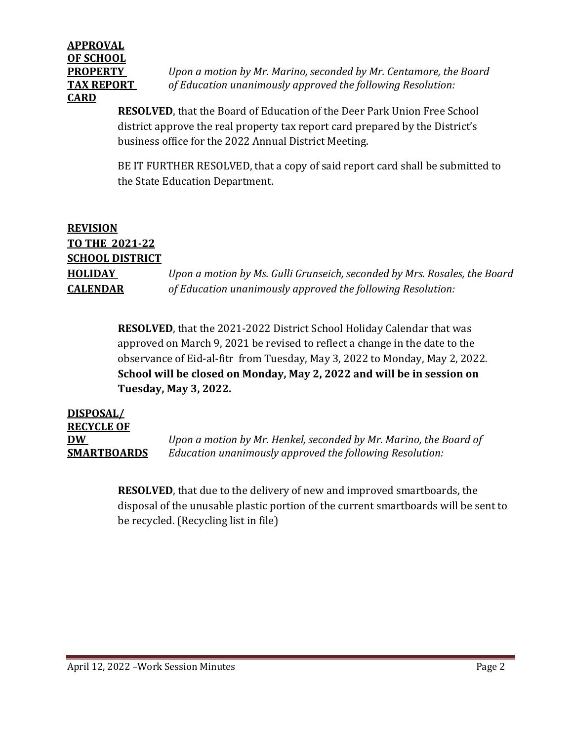# **APPROVAL OF SCHOOL CARD**

**PROPERTY** *Upon a motion by Mr. Marino, seconded by Mr. Centamore, the Board* **TAX REPORT** *of Education unanimously approved the following Resolution:*

> **RESOLVED**, that the Board of Education of the Deer Park Union Free School district approve the real property tax report card prepared by the District's business office for the 2022 Annual District Meeting.

BE IT FURTHER RESOLVED, that a copy of said report card shall be submitted to the State Education Department.

### **REVISION TO THE 2021-22 SCHOOL DISTRICT HOLIDAY** *Upon a motion by Ms. Gulli Grunseich, seconded by Mrs. Rosales, the Board* **CALENDAR** *of Education unanimously approved the following Resolution:*

**RESOLVED**, that the 2021-2022 District School Holiday Calendar that was approved on March 9, 2021 be revised to reflect a change in the date to the observance of Eid-al-fitr from Tuesday, May 3, 2022 to Monday, May 2, 2022. **School will be closed on Monday, May 2, 2022 and will be in session on Tuesday, May 3, 2022.** 

**DISPOSAL/ RECYCLE OF DW** *Upon a motion by Mr. Henkel, seconded by Mr. Marino, the Board of*  **SMARTBOARDS** *Education unanimously approved the following Resolution:*

> **RESOLVED**, that due to the delivery of new and improved smartboards, the disposal of the unusable plastic portion of the current smartboards will be sent to be recycled. (Recycling list in file)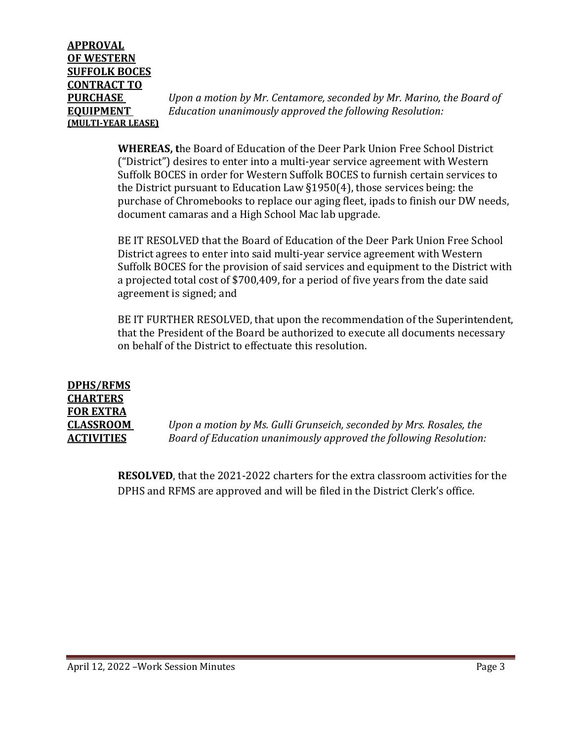**PURCHASE** *Upon a motion by Mr. Centamore, seconded by Mr. Marino, the Board of* **EQUIPMENT** *Education unanimously approved the following Resolution:*

> **WHEREAS, t**he Board of Education of the Deer Park Union Free School District ("District") desires to enter into a multi-year service agreement with Western Suffolk BOCES in order for Western Suffolk BOCES to furnish certain services to the District pursuant to Education Law §1950(4), those services being: the purchase of Chromebooks to replace our aging fleet, ipads to finish our DW needs, document camaras and a High School Mac lab upgrade.

> BE IT RESOLVED that the Board of Education of the Deer Park Union Free School District agrees to enter into said multi-year service agreement with Western Suffolk BOCES for the provision of said services and equipment to the District with a projected total cost of \$700,409, for a period of five years from the date said agreement is signed; and

> BE IT FURTHER RESOLVED, that upon the recommendation of the Superintendent, that the President of the Board be authorized to execute all documents necessary on behalf of the District to effectuate this resolution.

**DPHS/RFMS CHARTERS FOR EXTRA** 

**CLASSROOM** *Upon a motion by Ms. Gulli Grunseich, seconded by Mrs. Rosales, the*  **ACTIVITIES** *Board of Education unanimously approved the following Resolution:*

> **RESOLVED**, that the 2021-2022 charters for the extra classroom activities for the DPHS and RFMS are approved and will be filed in the District Clerk's office.